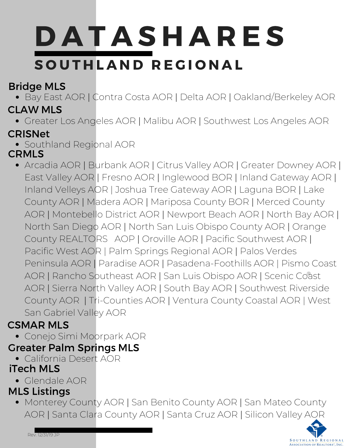# **DATASHARES** SOUTHLAND REGIONAL

## Bridge MLS

Bay East AOR | Contra Costa AOR | Delta AOR | Oakland/Berkeley AOR

## CLAW MLS

Greater Los Angeles AOR | Malibu AOR | Southwest Los Angeles AOR

## CRISNet

Southland Regional AOR

## **CRMLS**

Arcadia AOR | Burbank AOR | Citrus Valley AOR | Greater Downey AOR | East Valley AOR | Fresno AOR | Inglewood BOR | Inland Gateway AOR | Inland Velleys AOR | Joshua Tree Gateway AOR | Laguna BOR | Lake County AOR | Madera AOR | Mariposa County BOR | Merced County AOR | Montebello District AOR | Newport Beach AOR | North Bay AOR | North San Diego AOR | North San Luis Obispo County AOR | Orange County REALTORS AOP | Oroville AOR | Pacific Southwest AOR | Pacific West AOR | Palm Springs Regional AOR | Palos Verdes Peninsula AOR | Paradise AOR | Pasadena-Foothills AOR | Pismo Coast AOR | Rancho Southeast AOR | San Luis Obispo AOR | Scenic Coªst AOR | Sierra North Valley AOR | South Bay AOR | Southwest Riverside County AOR | Tri-Counties AOR | Ventura County Coastal AOR | West San Gabriel Valley AOR

## CSMAR MLS

Conejo Simi Moorpark AOR

## Greater Palm Springs MLS

California Desert AOR

## iTech MLS

Glendale AOR

#### MLS Listings

Monterey County AOR | San Benito County AOR | San Mateo County AOR | Santa Clara County AOR | Santa Cruz AOR | Silicon Valley AOR